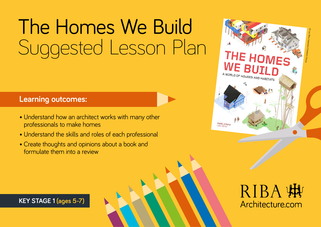# The Homes We Build Suggested Lesson Plan

#### **Learning outcomes:**

- Understand how an architect works with many other professionals to make homes
- Understand the skills and roles of each professional
- Create thoughts and opinions about a book and formulate them into a review



# RIBA W Architecture.com

**KEY STAGE 1 (ages 5-7)**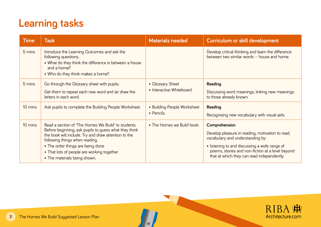| <b>Time</b> | <b>Task</b>                                                                                                                                                                                                                                                                                                               | <b>Materials needed</b>                       | Curriculum or skill development                                                                                                                                                                                                                          |
|-------------|---------------------------------------------------------------------------------------------------------------------------------------------------------------------------------------------------------------------------------------------------------------------------------------------------------------------------|-----------------------------------------------|----------------------------------------------------------------------------------------------------------------------------------------------------------------------------------------------------------------------------------------------------------|
| 5 mins      | Introduce the Learning Outcomes and ask the<br>following questions;<br>• What do they think the difference is between a house<br>and a home?<br>• Who do they think makes a home?                                                                                                                                         |                                               | Develop critical thinking and learn the difference<br>between two similar words - house and home.                                                                                                                                                        |
| 5 mins      | Go through the Glossary sheet with pupils.<br>Get them to repeat each new word and air draw the<br>letters in each word.                                                                                                                                                                                                  | • Glossary Sheet<br>• Interactive Whiteboard. | Reading<br>Discussing word meanings, linking new meanings<br>to those already known.                                                                                                                                                                     |
| 10 mins     | Ask pupils to complete the Building People Worksheet.                                                                                                                                                                                                                                                                     | • Building People Worksheet<br>• Pencils.     | <b>Reading</b><br>Recognising new vocabulary with visual aids.                                                                                                                                                                                           |
| 10 mins     | Read a section of 'The Homes We Build' to students.<br>Before beginning, ask pupils to guess what they think<br>the book will include. Try and draw attention to the<br>following things when reading.<br>• The order things are being done<br>• That lots of people are working together<br>• The materials being shown. | • The Homes we Build book.                    | Comprehension<br>Develop pleasure in reading, motivation to read,<br>vocabulary and understanding by:<br>• listening to and discussing a wide range of<br>poems, stories and non-fiction at a level beyond<br>that at which they can read independently. |

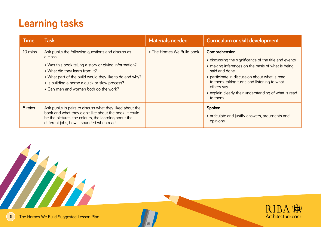| <b>Time</b> | <b>Task</b>                                                                                                                                                                                                                                                                                                    | <b>Materials needed</b>    | Curriculum or skill development                                                                                                                                                                                                                                                                                                  |
|-------------|----------------------------------------------------------------------------------------------------------------------------------------------------------------------------------------------------------------------------------------------------------------------------------------------------------------|----------------------------|----------------------------------------------------------------------------------------------------------------------------------------------------------------------------------------------------------------------------------------------------------------------------------------------------------------------------------|
| 10 mins     | Ask pupils the following questions and discuss as<br>a class;<br>• Was this book telling a story or giving information?<br>• What did they learn from it?<br>• What part of the build would they like to do and why?<br>• Is building a home a quick or slow process?<br>• Can men and women both do the work? | • The Homes We Build book. | Comprehension<br>• discussing the significance of the title and events<br>• making inferences on the basis of what is being<br>said and done<br>• participate in discussion about what is read<br>to them, taking turns and listening to what<br>others say<br>• explain clearly their understanding of what is read<br>to them. |
| 5 mins      | Ask pupils in pairs to discuss what they liked about the<br>book and what they didn't like about the book. It could<br>be the pictures, the colours, the learning about the<br>different jobs, how it sounded when read.                                                                                       |                            | Spoken<br>· articulate and justify answers, arguments and<br>opinions.                                                                                                                                                                                                                                                           |



HH H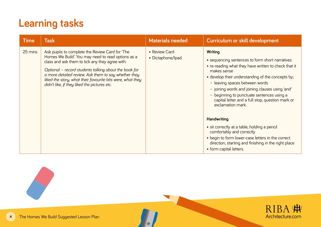| <b>Time</b> | <b>Task</b>                                                                                                                                                                                                                                                                                                                                                                             | <b>Materials needed</b>             | Curriculum or skill development                                                                                                                                                                                                                                                                                                                                                                                                                                                                                                                                                                                                               |
|-------------|-----------------------------------------------------------------------------------------------------------------------------------------------------------------------------------------------------------------------------------------------------------------------------------------------------------------------------------------------------------------------------------------|-------------------------------------|-----------------------------------------------------------------------------------------------------------------------------------------------------------------------------------------------------------------------------------------------------------------------------------------------------------------------------------------------------------------------------------------------------------------------------------------------------------------------------------------------------------------------------------------------------------------------------------------------------------------------------------------------|
| 25 mins     | Ask pupils to complete the Review Card for 'The<br>Homes We Build'. You may need to read options as a<br>class and ask them to tick any they agree with.<br>Optional - record students talking about the book for<br>a more detailed review. Ask them to say whether they<br>liked the story, what their favourite bits were, what they<br>didn't like, if they liked the pictures etc. | • Review Card<br>· Dictaphone/Ipad. | Writing<br>• sequencing sentences to form short narratives<br>• re-reading what they have written to check that it<br>makes sense<br>• develop their understanding of the concepts by;<br>- leaving spaces between words<br>- joining words and joining clauses using 'and'<br>- beginning to punctuate sentences using a<br>capital letter and a full stop, question mark or<br>exclamation mark.<br><b>Handwriting</b><br>• sit correctly at a table, holding a pencil<br>comfortably and correctly<br>• begin to form lower-case letters in the correct<br>direction, starting and finishing in the right place<br>• form capital letters. |

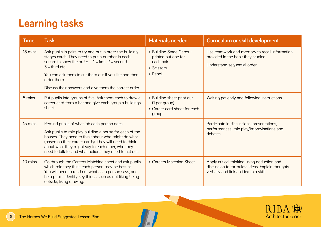| <b>Time</b> | <b>Task</b>                                                                                                                                                                                                                                                                                                                             | <b>Materials needed</b>                                                                 | Curriculum or skill development                                                                                                         |
|-------------|-----------------------------------------------------------------------------------------------------------------------------------------------------------------------------------------------------------------------------------------------------------------------------------------------------------------------------------------|-----------------------------------------------------------------------------------------|-----------------------------------------------------------------------------------------------------------------------------------------|
| 15 mins     | Ask pupils in pairs to try and put in order the building<br>stages cards. They need to put a number in each<br>square to show the order $-1 =$ first, $2 =$ second,<br>$3 =$ third etc.<br>You can ask them to cut them out if you like and then<br>order them.<br>Discuss their answers and give them the correct order.               | • Building Stage Cards -<br>printed out one for<br>each pair<br>• Scissors<br>• Pencil. | Use teamwork and memory to recall information<br>provided in the book they studied.<br>Understand sequential order.                     |
| 5 mins      | Put pupils into groups of five. Ask them each to draw a<br>career card from a hat and give each group a buildings<br>sheet.                                                                                                                                                                                                             | • Building sheet print out<br>(1 per group)<br>• Career card sheet for each<br>group.   | Waiting patiently and following instructions.                                                                                           |
| 15 mins     | Remind pupils of what job each person does.<br>Ask pupils to role play building a house for each of the<br>houses. They need to think about who might do what<br>(based on their career cards). They will need to think<br>about what they might say to each other, who they<br>need to talk to, and what actions they need to act out. |                                                                                         | Participate in discussions, presentations,<br>performances, role play/improvisations and<br>debates.                                    |
| 10 mins     | Go through the Careers Matching sheet and ask pupils<br>which role they think each person may be best at.<br>You will need to read out what each person says, and<br>help pupils identify key things such as not liking being<br>outside, liking drawing.                                                                               | • Careers Matching Sheet.                                                               | Apply critical thinking using deduction and<br>discussion to formulate ideas. Explain thoughts<br>verbally and link an idea to a skill. |

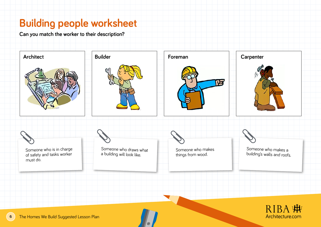#### **Building people worksheet**

**Can you match the worker to their description?** 

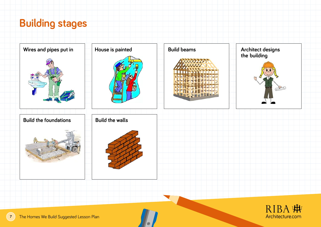## **Building stages**

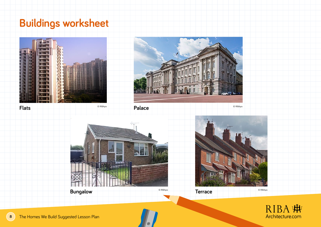# **Buildings worksheet**







RIBA :# Architecture.com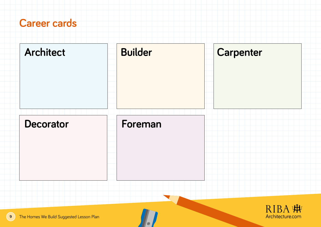#### **Career cards**

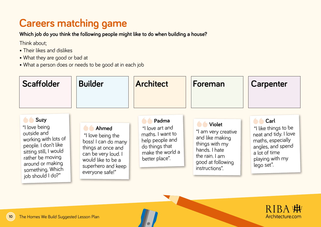### **Careers matching game**

**Which job do you think the following people might like to do when building a house?** 

Think about;

- Their likes and dislikes
- What they are good or bad at
- What a person does or needs to be good at in each job



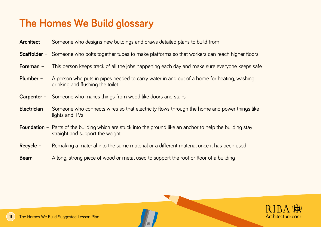# **The Homes We Build glossary**

- **Architect** Someone who designs new buildings and draws detailed plans to build from
- **Scaffolder** Someone who bolts together tubes to make platforms so that workers can reach higher floors
- **Foreman** This person keeps track of all the jobs happening each day and make sure everyone keeps safe
- **Plumber** A person who puts in pipes needed to carry water in and out of a home for heating, washing, drinking and flushing the toilet
- **Carpenter** Someone who makes things from wood like doors and stairs
- **Electrician** Someone who connects wires so that electricity flows through the home and power things like lights and TVs
- **Foundation** Parts of the building which are stuck into the ground like an anchor to help the building stay straight and support the weight
- **Recycle** Remaking a material into the same material or a different material once it has been used
- **Beam** A long, strong piece of wood or metal used to support the roof or floor of a building

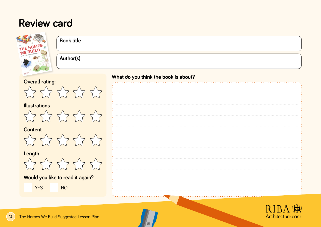#### **Review card**

| <b>Book title</b><br>THE HOMES                              |                                      |
|-------------------------------------------------------------|--------------------------------------|
| Author(s)                                                   |                                      |
| <b>Overall rating:</b>                                      | What do you think the book is about? |
| 222222                                                      |                                      |
| <b>Illustrations</b><br>272222                              |                                      |
| <b>Content</b><br>222222                                    |                                      |
| Length<br>222222                                            |                                      |
| Would you like to read it again?<br><b>YES</b><br><b>NO</b> |                                      |
| The Homes We Build Suggested Lesson Plan                    | R I B<br>Architecture.com            |

 $\mathcal{U}$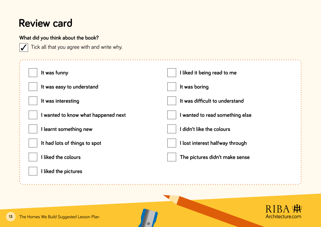#### **Review card**